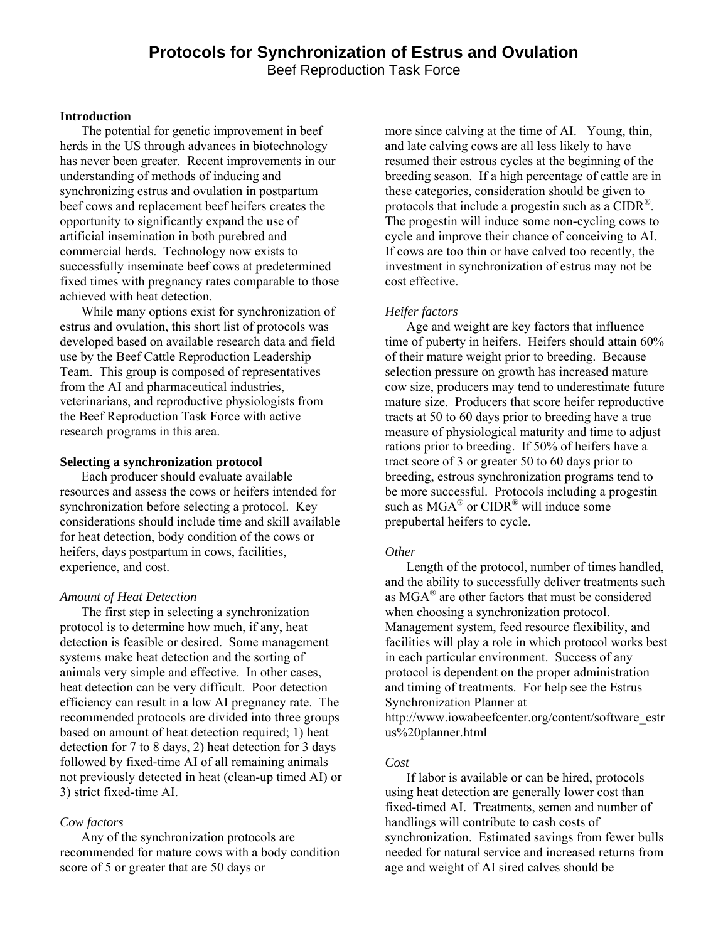# **Protocols for Synchronization of Estrus and Ovulation**

Beef Reproduction Task Force

#### **Introduction**

The potential for genetic improvement in beef herds in the US through advances in biotechnology has never been greater. Recent improvements in our understanding of methods of inducing and synchronizing estrus and ovulation in postpartum beef cows and replacement beef heifers creates the opportunity to significantly expand the use of artificial insemination in both purebred and commercial herds. Technology now exists to successfully inseminate beef cows at predetermined fixed times with pregnancy rates comparable to those achieved with heat detection.

While many options exist for synchronization of estrus and ovulation, this short list of protocols was developed based on available research data and field use by the Beef Cattle Reproduction Leadership Team. This group is composed of representatives from the AI and pharmaceutical industries, veterinarians, and reproductive physiologists from the Beef Reproduction Task Force with active research programs in this area.

## **Selecting a synchronization protocol**

Each producer should evaluate available resources and assess the cows or heifers intended for synchronization before selecting a protocol. Key considerations should include time and skill available for heat detection, body condition of the cows or heifers, days postpartum in cows, facilities, experience, and cost.

#### *Amount of Heat Detection*

The first step in selecting a synchronization protocol is to determine how much, if any, heat detection is feasible or desired. Some management systems make heat detection and the sorting of animals very simple and effective. In other cases, heat detection can be very difficult. Poor detection efficiency can result in a low AI pregnancy rate. The recommended protocols are divided into three groups based on amount of heat detection required; 1) heat detection for 7 to 8 days, 2) heat detection for 3 days followed by fixed-time AI of all remaining animals not previously detected in heat (clean-up timed AI) or 3) strict fixed-time AI.

#### *Cow factors*

Any of the synchronization protocols are recommended for mature cows with a body condition score of 5 or greater that are 50 days or

more since calving at the time of AI. Young, thin, and late calving cows are all less likely to have resumed their estrous cycles at the beginning of the breeding season. If a high percentage of cattle are in these categories, consideration should be given to protocols that include a progestin such as a  $CIDR^{\mathcal{B}}$ . The progestin will induce some non-cycling cows to cycle and improve their chance of conceiving to AI. If cows are too thin or have calved too recently, the investment in synchronization of estrus may not be cost effective.

#### *Heifer factors*

Age and weight are key factors that influence time of puberty in heifers. Heifers should attain 60% of their mature weight prior to breeding. Because selection pressure on growth has increased mature cow size, producers may tend to underestimate future mature size. Producers that score heifer reproductive tracts at 50 to 60 days prior to breeding have a true measure of physiological maturity and time to adjust rations prior to breeding. If 50% of heifers have a tract score of 3 or greater 50 to 60 days prior to breeding, estrous synchronization programs tend to be more successful. Protocols including a progestin such as  $MGA^{\circledast}$  or  $CIDR^{\circledast}$  will induce some prepubertal heifers to cycle.

#### *Other*

Length of the protocol, number of times handled, and the ability to successfully deliver treatments such as  $MGA^{\circledR}$  are other factors that must be considered when choosing a synchronization protocol. Management system, feed resource flexibility, and facilities will play a role in which protocol works best in each particular environment. Success of any protocol is dependent on the proper administration and timing of treatments. For help see the Estrus Synchronization Planner at http://www.iowabeefcenter.org/content/software\_estr us%20planner.html

#### *Cost*

If labor is available or can be hired, protocols using heat detection are generally lower cost than fixed-timed AI. Treatments, semen and number of handlings will contribute to cash costs of synchronization. Estimated savings from fewer bulls needed for natural service and increased returns from age and weight of AI sired calves should be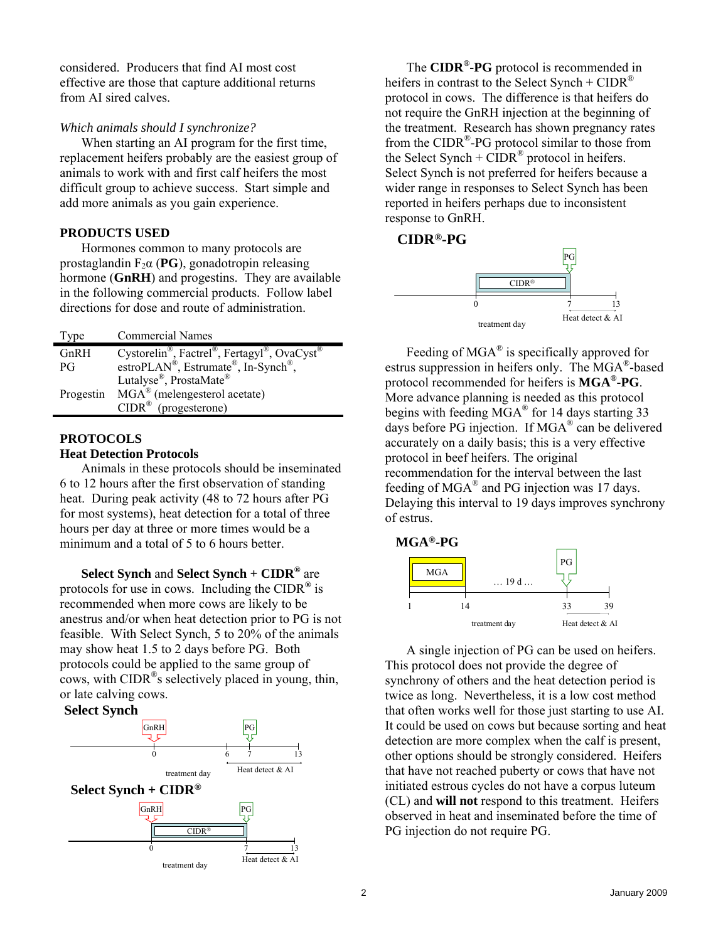considered. Producers that find AI most cost effective are those that capture additional returns from AI sired calves.

## *Which animals should I synchronize?*

When starting an AI program for the first time, replacement heifers probably are the easiest group of animals to work with and first calf heifers the most difficult group to achieve success. Start simple and add more animals as you gain experience.

## **PRODUCTS USED**

Hormones common to many protocols are prostaglandin  $F_2\alpha$  (**PG**), gonadotropin releasing hormone (**GnRH**) and progestins. They are available in the following commercial products. Follow label directions for dose and route of administration.

| Type      | <b>Commercial Names</b>                                                   |
|-----------|---------------------------------------------------------------------------|
| GnRH      | Cystorelin®, Factrel®, Fertagyl®, OvaCyst®                                |
| PG        | estroPLAN <sup>®</sup> , Estrumate <sup>®</sup> , In-Synch <sup>®</sup> , |
| Progestin | Lutalyse®, ProstaMate®                                                    |
|           | $MGA^{\&}$ (melengesterol acetate)                                        |
|           | $CIDR^{\circledR}$ (progesterone)                                         |

# **PROTOCOLS**

## **Heat Detection Protocols**

Animals in these protocols should be inseminated 6 to 12 hours after the first observation of standing heat. During peak activity (48 to 72 hours after PG for most systems), heat detection for a total of three hours per day at three or more times would be a minimum and a total of 5 to 6 hours better.

**Select Synch** and **Select Synch + CIDR®** are protocols for use in cows. Including the CIDR**®** is recommended when more cows are likely to be anestrus and/or when heat detection prior to PG is not feasible. With Select Synch, 5 to 20% of the animals may show heat 1.5 to 2 days before PG. Both protocols could be applied to the same group of cows, with CIDR®s selectively placed in young, thin, or late calving cows.

## **Select Synch**



The **CIDR®-PG** protocol is recommended in heifers in contrast to the Select Synch +  $CIDR^{\omega}$ protocol in cows. The difference is that heifers do not require the GnRH injection at the beginning of the treatment. Research has shown pregnancy rates from the CIDR®-PG protocol similar to those from the Select Synch +  $CIDR^{\otimes}$  protocol in heifers. Select Synch is not preferred for heifers because a wider range in responses to Select Synch has been reported in heifers perhaps due to inconsistent response to GnRH.

## **CIDR®-PG**



Feeding of MGA® is specifically approved for estrus suppression in heifers only. The MGA®-based protocol recommended for heifers is **MGA®-PG**. More advance planning is needed as this protocol begins with feeding  $\overline{MGA}^{\otimes}$  for 14 days starting 33 days before PG injection. If MGA® can be delivered accurately on a daily basis; this is a very effective protocol in beef heifers. The original recommendation for the interval between the last feeding of MGA® and PG injection was 17 days. Delaying this interval to 19 days improves synchrony of estrus.



A single injection of PG can be used on heifers. This protocol does not provide the degree of synchrony of others and the heat detection period is twice as long. Nevertheless, it is a low cost method that often works well for those just starting to use AI. It could be used on cows but because sorting and heat detection are more complex when the calf is present, other options should be strongly considered. Heifers that have not reached puberty or cows that have not initiated estrous cycles do not have a corpus luteum (CL) and **will not** respond to this treatment. Heifers observed in heat and inseminated before the time of PG injection do not require PG.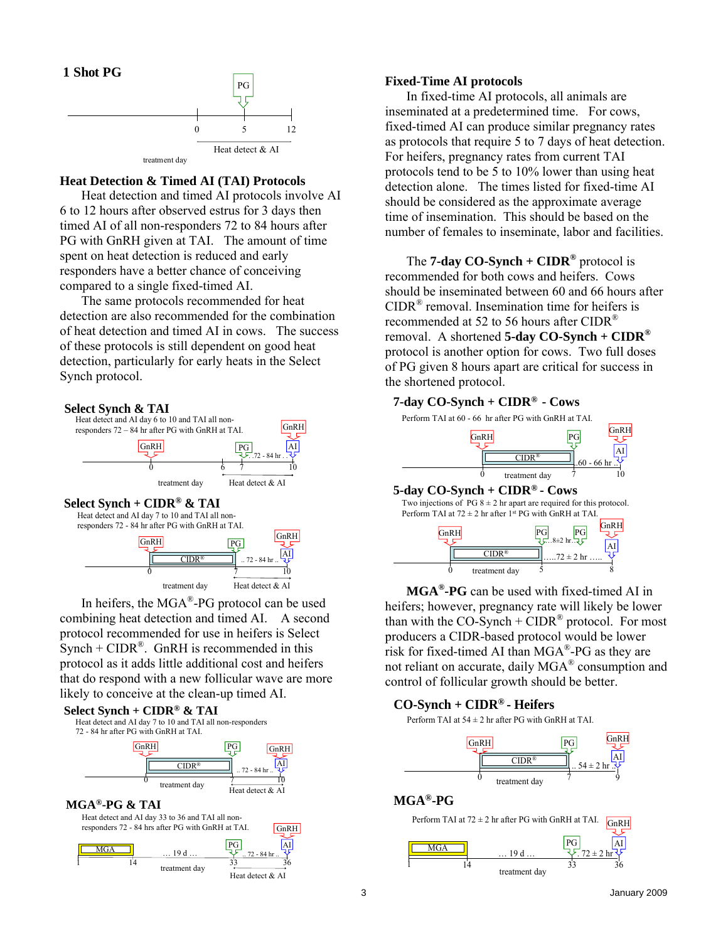

#### **Heat Detection & Timed AI (TAI) Protocols**

Heat detection and timed AI protocols involve AI 6 to 12 hours after observed estrus for 3 days then timed AI of all non-responders 72 to 84 hours after PG with GnRH given at TAI. The amount of time spent on heat detection is reduced and early responders have a better chance of conceiving compared to a single fixed-timed AI.

The same protocols recommended for heat detection are also recommended for the combination of heat detection and timed AI in cows. The success of these protocols is still dependent on good heat detection, particularly for early heats in the Select Synch protocol.



In heifers, the MGA®-PG protocol can be used combining heat detection and timed AI. A second protocol recommended for use in heifers is Select Synch +  $CIDR^{\otimes}$ . GnRH is recommended in this protocol as it adds little additional cost and heifers that do respond with a new follicular wave are more likely to conceive at the clean-up timed AI.



#### **Fixed-Time AI protocols**

In fixed-time AI protocols, all animals are inseminated at a predetermined time. For cows, fixed-timed AI can produce similar pregnancy rates as protocols that require 5 to 7 days of heat detection. For heifers, pregnancy rates from current TAI protocols tend to be 5 to 10% lower than using heat detection alone. The times listed for fixed-time AI should be considered as the approximate average time of insemination. This should be based on the number of females to inseminate, labor and facilities.

The **7-day CO-Synch + CIDR®** protocol is recommended for both cows and heifers. Cows should be inseminated between 60 and 66 hours after CIDR® removal. Insemination time for heifers is recommended at 52 to 56 hours after CIDR<sup>®</sup> removal. A shortened **5-day CO-Synch + CIDR®** protocol is another option for cows. Two full doses of PG given 8 hours apart are critical for success in the shortened protocol.

## **7-day CO-Synch + CIDR® - Cows**



Perform TAI at  $72 \pm 2$  hr after 1st PG with GnRH at TAI Two injections of PG  $8 \pm 2$  hr apart are required for this protocol.



**MGA®-PG** can be used with fixed-timed AI in heifers; however, pregnancy rate will likely be lower than with the  $CO-Synch + CIDR^{\circledR}$  protocol. For most producers a CIDR-based protocol would be lower risk for fixed-timed AI than MGA®-PG as they are not reliant on accurate, daily MGA® consumption and control of follicular growth should be better.

## **CO-Synch + CIDR® - Heifers**

Perform TAI at  $54 \pm 2$  hr after PG with GnRH at TAI.



#### **MGA®-PG**